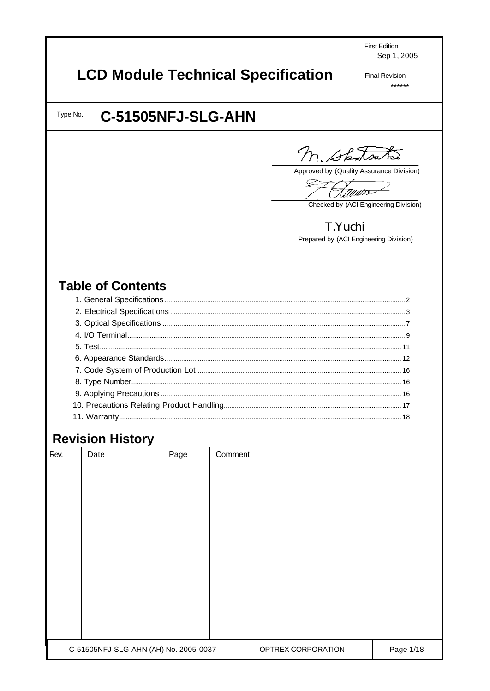**First Edition** Sep 1, 2005

# **LCD Module Technical Specification**

**Final Revision**  $******$ 

Type No.

# C-51505NFJ-SLG-AHN

M. Shatsutes

Approved by (Quality Assurance Division)

Ģ <u> Mauno</u>

Checked by (ACI Engineering Division)

## T.Yuchi

Prepared by (ACI Engineering Division)

# **Table of Contents**

# **Revision History**

| Rev.                                  | Date | Page | Comment            |           |  |
|---------------------------------------|------|------|--------------------|-----------|--|
|                                       |      |      |                    |           |  |
|                                       |      |      |                    |           |  |
|                                       |      |      |                    |           |  |
|                                       |      |      |                    |           |  |
|                                       |      |      |                    |           |  |
|                                       |      |      |                    |           |  |
|                                       |      |      |                    |           |  |
|                                       |      |      |                    |           |  |
|                                       |      |      |                    |           |  |
|                                       |      |      |                    |           |  |
|                                       |      |      |                    |           |  |
|                                       |      |      |                    |           |  |
|                                       |      |      |                    |           |  |
| C-51505NFJ-SLG-AHN (AH) No. 2005-0037 |      |      | OPTREX CORPORATION | Page 1/18 |  |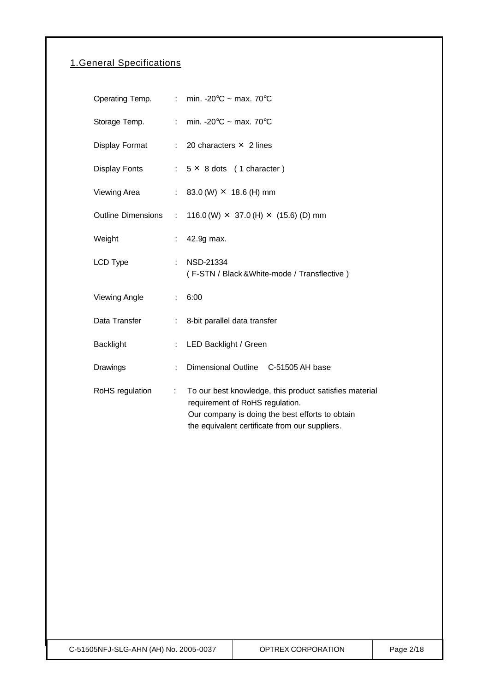## 1.General Specifications

|                           |                             | Operating Temp. : min. -20 $\degree$ C ~ max. 70 $\degree$ C                                                                                                                                   |
|---------------------------|-----------------------------|------------------------------------------------------------------------------------------------------------------------------------------------------------------------------------------------|
| Storage Temp.             |                             | : min. -20 $\degree$ C ~ max. 70 $\degree$ C                                                                                                                                                   |
| Display Format            |                             | $\therefore$ 20 characters $\times$ 2 lines                                                                                                                                                    |
| Display Fonts             |                             | $: 5 \times 8$ dots (1 character)                                                                                                                                                              |
| Viewing Area              | $\mathbb{R}^{\mathbb{Z}}$   | 83.0 (W) $\times$ 18.6 (H) mm                                                                                                                                                                  |
| <b>Outline Dimensions</b> | $\mathcal{I}^{\mathcal{I}}$ | 116.0 (W) $\times$ 37.0 (H) $\times$ (15.6) (D) mm                                                                                                                                             |
| Weight                    | t,                          | 42.9g max.                                                                                                                                                                                     |
| LCD Type                  | $\mathbb{R}^{\mathbb{Z}}$   | <b>NSD-21334</b><br>(F-STN / Black & White-mode / Transflective)                                                                                                                               |
| Viewing Angle             | $\mathbb{R}^{\mathbb{Z}}$   | 6:00                                                                                                                                                                                           |
| Data Transfer             | $\mathcal{L}^{\mathcal{L}}$ | 8-bit parallel data transfer                                                                                                                                                                   |
| <b>Backlight</b>          | ÷.                          | LED Backlight / Green                                                                                                                                                                          |
| Drawings                  | ÷                           | Dimensional Outline C-51505 AH base                                                                                                                                                            |
| RoHS regulation           | ÷                           | To our best knowledge, this product satisfies material<br>requirement of RoHS regulation.<br>Our company is doing the best efforts to obtain<br>the equivalent certificate from our suppliers. |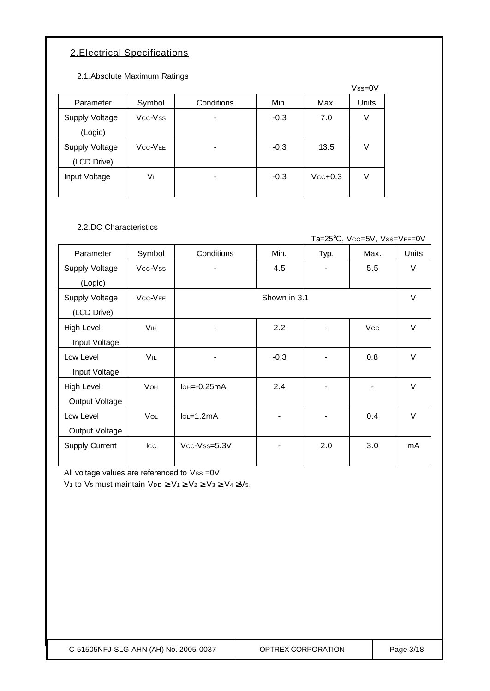## 2.Electrical Specifications

2.1.Absolute Maximum Ratings

|                |                                  |            |        |           | $Vss=0V$ |
|----------------|----------------------------------|------------|--------|-----------|----------|
| Parameter      | Symbol                           | Conditions | Min.   | Max.      | Units    |
| Supply Voltage | Vcc-Vss                          |            | $-0.3$ | 7.0       | ٧        |
| (Logic)        |                                  |            |        |           |          |
| Supply Voltage | V <sub>CC</sub> -V <sub>EE</sub> | ۰          | $-0.3$ | 13.5      | ٧        |
| (LCD Drive)    |                                  |            |        |           |          |
| Input Voltage  | V١                               |            | $-0.3$ | $Vcc+0.3$ | V        |
|                |                                  |            |        |           |          |

2.2.DC Characteristics

Ta=25°C, Vcc=5V, Vss=VEE=0V

| Parameter             | Symbol                           | Conditions                    | Min.         | Typ. | Max.       | <b>Units</b> |
|-----------------------|----------------------------------|-------------------------------|--------------|------|------------|--------------|
| <b>Supply Voltage</b> | Vcc-Vss                          |                               | 4.5          |      | 5.5        | $\vee$       |
| (Logic)               |                                  |                               |              |      |            |              |
| Supply Voltage        | V <sub>CC</sub> -V <sub>EE</sub> |                               | Shown in 3.1 |      |            | $\vee$       |
| (LCD Drive)           |                                  |                               |              |      |            |              |
| High Level            | <b>V<sub>IH</sub></b>            |                               | 2.2          |      | <b>Vcc</b> | $\vee$       |
| Input Voltage         |                                  |                               |              |      |            |              |
| Low Level             | VIL                              | ۰                             | $-0.3$       |      | 0.8        | $\vee$       |
| Input Voltage         |                                  |                               |              |      |            |              |
| High Level            | <b>VOH</b>                       | $I$ <sub>OH</sub> $=$ -0.25mA | 2.4          |      |            | $\vee$       |
| Output Voltage        |                                  |                               |              |      |            |              |
| Low Level             | <b>VOL</b>                       | $IoL = 1.2mA$                 |              |      | 0.4        | $\vee$       |
| Output Voltage        |                                  |                               |              |      |            |              |
| Supply Current        | $ _{\rm CC}$                     | Vcc-Vss=5.3V                  |              | 2.0  | 3.0        | mA           |
|                       |                                  |                               |              |      |            |              |

All voltage values are referenced to Vss =0V

V<sub>1</sub> to V<sub>5</sub> must maintain V<sub>DD</sub>  $\geq$  V<sub>1</sub> $\geq$  V<sub>2</sub> $\geq$  V<sub>3</sub> $\geq$  V<sub>4</sub> $\geq$ V<sub>5</sub>.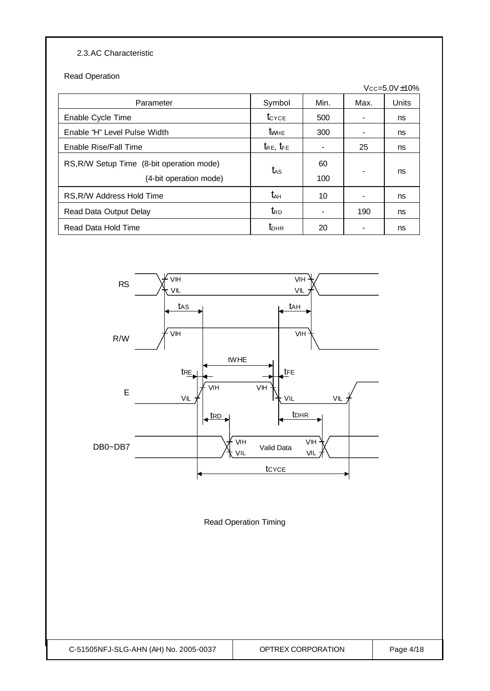### 2.3.AC Characteristic

Read Operation

|                                                                     |                     |                |      | $Vcc = 5.0V \pm 10\%$ |
|---------------------------------------------------------------------|---------------------|----------------|------|-----------------------|
| Parameter                                                           | Symbol              | Min.           | Max. | Units                 |
| Enable Cycle Time                                                   | $t_{\text{CYCE}}$   | 500            |      | ns                    |
| Enable "H" Level Pulse Width                                        | <b>t</b> whe        | 300            |      | ns                    |
| Enable Rise/Fall Time                                               | $t_{RE}$ , $t_{FE}$ | $\blacksquare$ | 25   | ns                    |
| RS, R/W Setup Time (8-bit operation mode)<br>(4-bit operation mode) | t <sub>AS</sub>     | 60<br>100      |      | ns                    |
| RS, R/W Address Hold Time                                           | t <sub>ан</sub>     | 10             |      | ns                    |
| Read Data Output Delay                                              | $t_{\mathsf{RD}}$   |                | 190  | ns                    |
| Read Data Hold Time                                                 | $t_{\text{DHR}}$    | 20             |      | ns                    |



Read Operation Timing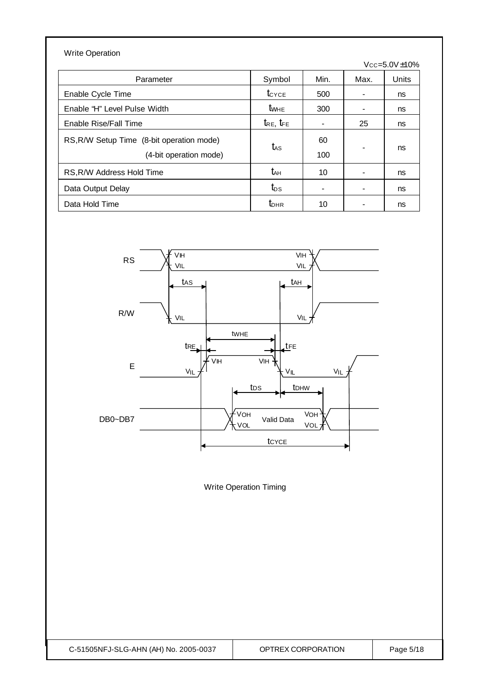| <b>Write Operation</b>                                              |                     |           |                |                       |
|---------------------------------------------------------------------|---------------------|-----------|----------------|-----------------------|
|                                                                     |                     |           |                | $Vcc = 5.0V \pm 10\%$ |
| Parameter                                                           | Symbol              | Min.      | Max.           | Units                 |
| Enable Cycle Time                                                   | $t_{\text{CYCE}}$   | 500       |                | ns                    |
| Enable "H" Level Pulse Width                                        | <b>t</b> whe        | 300       | ۰              | ns                    |
| Enable Rise/Fall Time                                               | $t_{RE}$ , $t_{FE}$ |           | 25             | ns                    |
| RS, R/W Setup Time (8-bit operation mode)<br>(4-bit operation mode) | $t_{\rm AS}$        | 60<br>100 | $\blacksquare$ | ns                    |
| RS, R/W Address Hold Time                                           | t <sub>ан</sub>     | 10        |                | ns                    |
| Data Output Delay                                                   | $t_{DS}$            |           |                | ns                    |
| Data Hold Time                                                      | $t_{\text{DHR}}$    | 10        |                | ns                    |



Write Operation Timing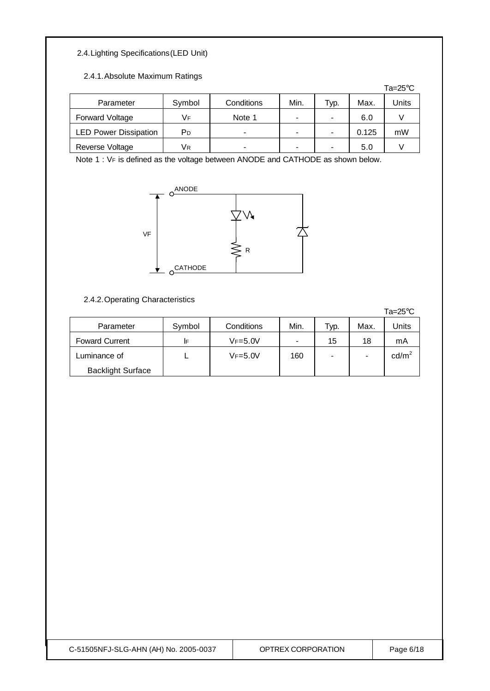## 2.4.Lighting Specifications(LED Unit)

#### 2.4.1.Absolute Maximum Ratings

|                              |        |            |      |      |       | Ta= $25^{\circ}$ C |
|------------------------------|--------|------------|------|------|-------|--------------------|
| Parameter                    | Symbol | Conditions | Min. | ⊤ур. | Max.  | Units              |
| <b>Forward Voltage</b>       | Vғ     | Note 1     | ۰    |      | 6.0   |                    |
| <b>LED Power Dissipation</b> | РD     | -          | ۰    |      | 0.125 | mW                 |
| Reverse Voltage              | Vк     |            |      |      | 5.0   |                    |

Note 1 : VF is defined as the voltage between ANODE and CATHODE as shown below.



#### 2.4.2.Operating Characteristics

|                          |        |             |                |      |      | $Ta = 25^{\circ}C$ |
|--------------------------|--------|-------------|----------------|------|------|--------------------|
| Parameter                | Symbol | Conditions  | Min.           | Typ. | Max. | Units              |
| <b>Foward Current</b>    | I۴     | $VF = 5.0V$ | $\blacksquare$ | 15   | 18   | mA                 |
| Luminance of             |        | $VF = 5.0V$ | 160            |      | ۰    | $\text{cd/m}^2$    |
| <b>Backlight Surface</b> |        |             |                |      |      |                    |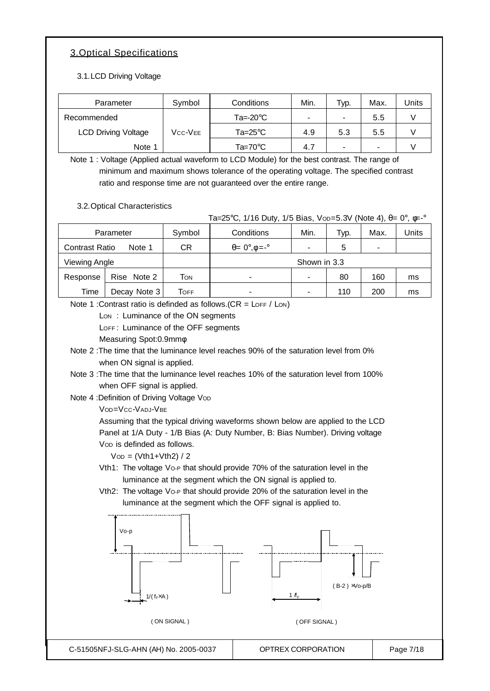## 3.Optical Specifications

3.1.LCD Driving Voltage

| Parameter                  | Symbol  | Conditions         | Min. | Typ. | Max. | Units |
|----------------------------|---------|--------------------|------|------|------|-------|
| Recommended                |         | $Ta = -20^\circ C$ | -    |      | 5.5  |       |
| <b>LCD Driving Voltage</b> | Vcc-Vee | Ta=25°C            | 4.9  | 5.3  | 5.5  |       |
| Note 1                     |         | Ta=70 $^{\circ}$ C | 4.7  | -    | -    |       |

Note 1 : Voltage (Applied actual waveform to LCD Module) for the best contrast. The range of minimum and maximum shows tolerance of the operating voltage. The specified contrast ratio and response time are not guaranteed over the entire range.

3.2.Optical Characteristics

Ta=25°C, 1/16 Duty, 1/5 Bias, Vop=5.3V (Note 4),  $\theta = 0^\circ$ ,  $\phi = -\circ$ 

| Parameter             |              | Symbol          | Conditions                             | Min. | Typ. | Max. | Units |
|-----------------------|--------------|-----------------|----------------------------------------|------|------|------|-------|
| <b>Contrast Ratio</b> | Note 1       | СR              | $\theta = 0^\circ \cdot \phi = -\circ$ |      | 5    | -    |       |
| Viewing Angle         |              |                 | Shown in 3.3                           |      |      |      |       |
| Response              | Rise Note 2  | Том             | ۰                                      |      | 80   | 160  | ms    |
| Time                  | Decay Note 3 | $\mathsf{ToFF}$ | ۰                                      |      | 110  | 200  | ms    |

Note 1 : Contrast ratio is definded as follows.  $(CR = \text{LOF } / \text{LON})$ 

Lon: Luminance of the ON segments

LOFF: Luminance of the OFF segments

Measuring Spot:0.9mmφ

Note 2 :The time that the luminance level reaches 90% of the saturation level from 0% when ON signal is applied.

Note 3 :The time that the luminance level reaches 10% of the saturation level from 100% when OFF signal is applied.

Note 4 : Definition of Driving Voltage Vop

VOD=VCC-VADJ-VBE

Assuming that the typical driving waveforms shown below are applied to the LCD Panel at 1/A Duty - 1/B Bias (A: Duty Number, B: Bias Number). Driving voltage Vop is definded as follows.

 $V$ o<sub>D</sub> = (Vth1+Vth2) / 2

Vth1: The voltage Vo-P that should provide 70% of the saturation level in the luminance at the segment which the ON signal is applied to.

Vth2: The voltage Vo-P that should provide 20% of the saturation level in the luminance at the segment which the OFF signal is applied to.

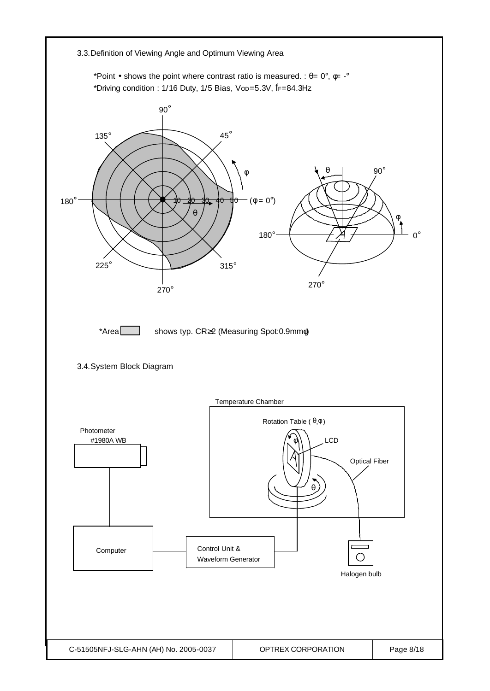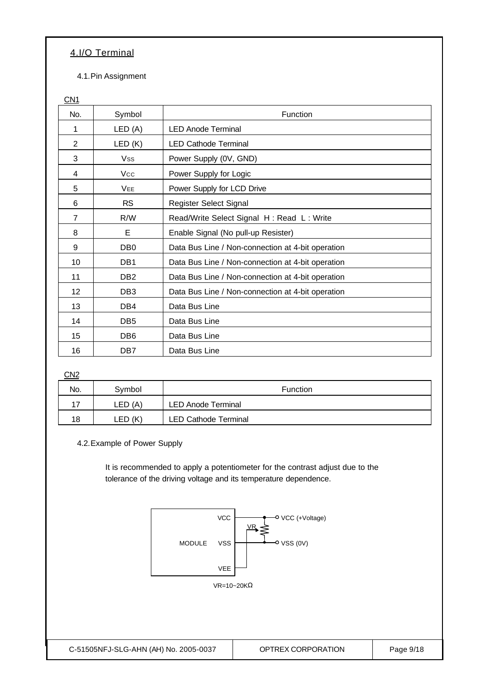## 4.I/O Terminal

4.1.Pin Assignment

CN<sub>1</sub>

| No.             | Symbol          | Function                                          |
|-----------------|-----------------|---------------------------------------------------|
| 1               | LED (A)         | <b>LED Anode Terminal</b>                         |
| 2               | LED(K)          | <b>LED Cathode Terminal</b>                       |
| 3               | <b>Vss</b>      | Power Supply (0V, GND)                            |
| 4               | <b>Vcc</b>      | Power Supply for Logic                            |
| 5               | <b>VEE</b>      | Power Supply for LCD Drive                        |
| 6               | <b>RS</b>       | Register Select Signal                            |
| $\overline{7}$  | R/W             | Read/Write Select Signal H: Read L: Write         |
| 8               | E               | Enable Signal (No pull-up Resister)               |
| 9               | DB <sub>0</sub> | Data Bus Line / Non-connection at 4-bit operation |
| 10              | DB1             | Data Bus Line / Non-connection at 4-bit operation |
| 11              | DB <sub>2</sub> | Data Bus Line / Non-connection at 4-bit operation |
| 12 <sub>2</sub> | DB <sub>3</sub> | Data Bus Line / Non-connection at 4-bit operation |
| 13              | DB4             | Data Bus Line                                     |
| 14              | DB <sub>5</sub> | Data Bus Line                                     |
| 15              | DB <sub>6</sub> | Data Bus Line                                     |
| 16              | DB7             | Data Bus Line                                     |

CN<sub>2</sub>

| No. | Svmbol      | <b>Function</b>             |  |  |
|-----|-------------|-----------------------------|--|--|
| 17  | LED (A)     | <b>LED Anode Terminal</b>   |  |  |
| 18  | (K)<br>LED. | <b>LED Cathode Terminal</b> |  |  |

4.2.Example of Power Supply

It is recommended to apply a potentiometer for the contrast adjust due to the tolerance of the driving voltage and its temperature dependence.

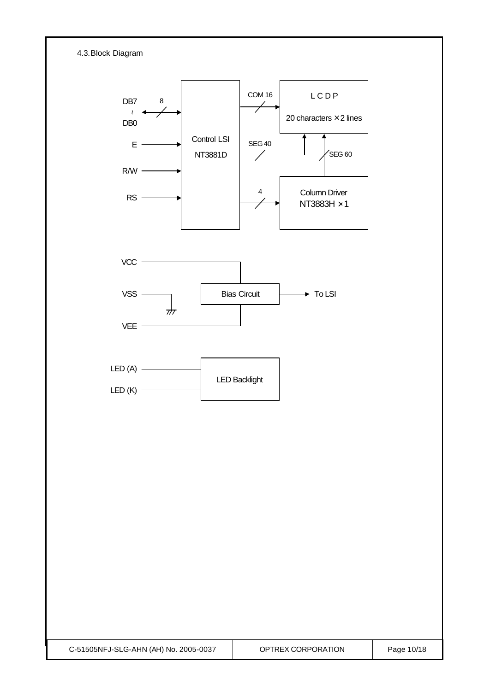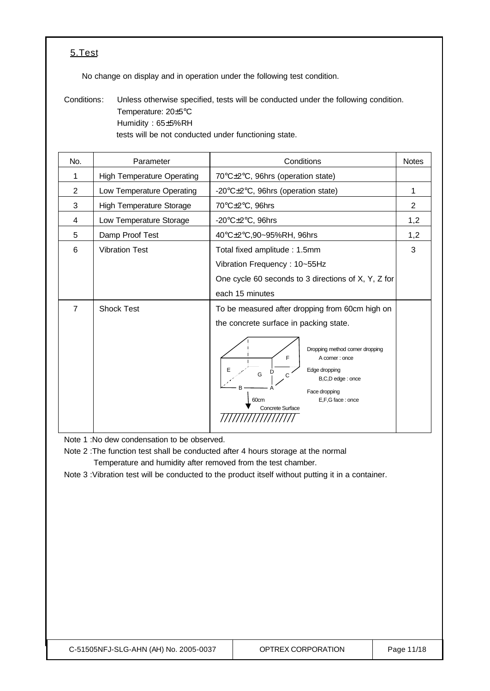## 5.Test

No change on display and in operation under the following test condition.

Conditions: Unless otherwise specified, tests will be conducted under the following condition. Temperature: 20±5°C Humidity : 65±5%RH tests will be not conducted under functioning state.

| No.            | Parameter                         | Conditions                                                                                                                                                                                                                                                           | <b>Notes</b> |
|----------------|-----------------------------------|----------------------------------------------------------------------------------------------------------------------------------------------------------------------------------------------------------------------------------------------------------------------|--------------|
| 1              | <b>High Temperature Operating</b> | 70°C±2°C, 96hrs (operation state)                                                                                                                                                                                                                                    |              |
| $\overline{2}$ | Low Temperature Operating         | -20°C±2°C, 96hrs (operation state)                                                                                                                                                                                                                                   |              |
| 3              | <b>High Temperature Storage</b>   | 70°C±2°C, 96hrs                                                                                                                                                                                                                                                      | 2            |
| 4              | Low Temperature Storage           | -20 $\textdegree$ C $\pm$ 2 $\textdegree$ C, 96hrs                                                                                                                                                                                                                   | 1,2          |
| 5              | Damp Proof Test                   | 40°C±2°C,90~95%RH, 96hrs                                                                                                                                                                                                                                             | 1,2          |
| 6              | <b>Vibration Test</b>             | Total fixed amplitude: 1.5mm<br>Vibration Frequency: 10~55Hz<br>One cycle 60 seconds to 3 directions of X, Y, Z for<br>each 15 minutes                                                                                                                               | 3            |
| 7              | <b>Shock Test</b>                 | To be measured after dropping from 60cm high on<br>the concrete surface in packing state.<br>Dropping method corner dropping<br>F<br>A corner: once<br>Edge dropping<br>G<br>C<br>B,C,D edge : once<br>Face dropping<br>E,F,G face: once<br>60cm<br>Concrete Surface |              |

Note 1 :No dew condensation to be observed.

Note 2 :The function test shall be conducted after 4 hours storage at the normal Temperature and humidity after removed from the test chamber.

Note 3 :Vibration test will be conducted to the product itself without putting it in a container.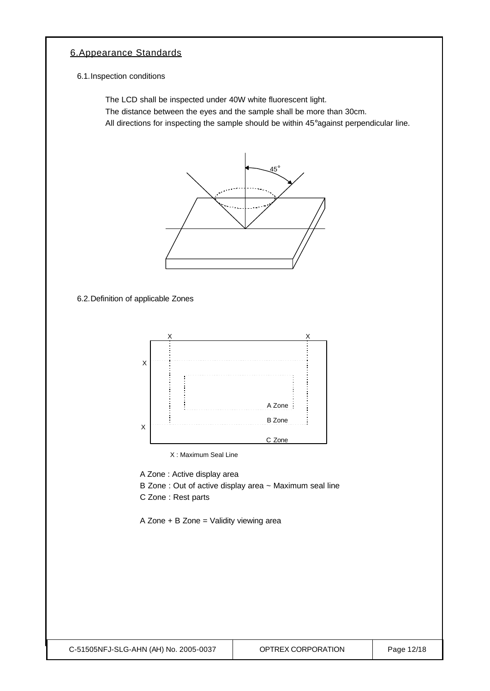## 6.Appearance Standards

6.1.Inspection conditions

The LCD shall be inspected under 40W white fluorescent light.

The distance between the eyes and the sample shall be more than 30cm.

All directions for inspecting the sample should be within 45°against perpendicular line.



6.2.Definition of applicable Zones



X : Maximum Seal Line

A Zone : Active display area

- B Zone : Out of active display area ~ Maximum seal line
- C Zone : Rest parts

A Zone + B Zone = Validity viewing area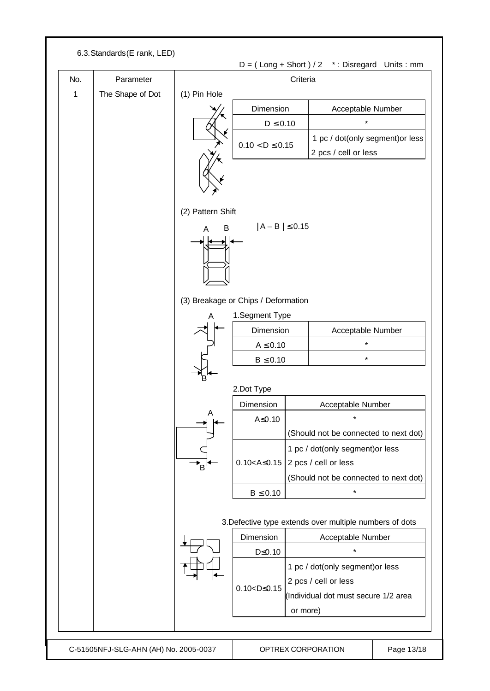| No.         | Parameter        | Criteria                    |                                     |                                                                                                  |                                                         |  |  |
|-------------|------------------|-----------------------------|-------------------------------------|--------------------------------------------------------------------------------------------------|---------------------------------------------------------|--|--|
| $\mathbf 1$ | The Shape of Dot | (1) Pin Hole                |                                     |                                                                                                  |                                                         |  |  |
|             |                  |                             | Dimension                           |                                                                                                  | Acceptable Number                                       |  |  |
|             |                  |                             | $D \leq 0.10$                       |                                                                                                  | $\star$                                                 |  |  |
|             |                  |                             |                                     |                                                                                                  | 1 pc / dot(only segment) or less                        |  |  |
|             |                  |                             | $0.10 < D \le 0.15$                 |                                                                                                  | 2 pcs / cell or less                                    |  |  |
|             |                  | (2) Pattern Shift<br>B<br>A | $ A - B  \le 0.15$                  |                                                                                                  |                                                         |  |  |
|             |                  |                             | (3) Breakage or Chips / Deformation |                                                                                                  |                                                         |  |  |
|             |                  | A                           | 1.Segment Type                      |                                                                                                  |                                                         |  |  |
|             |                  |                             | Dimension                           |                                                                                                  | Acceptable Number                                       |  |  |
|             |                  |                             | $A \leq 0.10$                       |                                                                                                  | *                                                       |  |  |
|             |                  |                             | $B \leq 0.10$                       |                                                                                                  | $\star$                                                 |  |  |
|             |                  | Έ.                          | 2.Dot Type                          |                                                                                                  |                                                         |  |  |
|             |                  |                             | Dimension                           |                                                                                                  | Acceptable Number                                       |  |  |
|             |                  | A                           | A≤0.10                              |                                                                                                  | $\star$                                                 |  |  |
|             |                  |                             |                                     |                                                                                                  | (Should not be connected to next dot)                   |  |  |
|             |                  |                             |                                     |                                                                                                  | 1 pc / dot(only segment) or less                        |  |  |
|             |                  |                             | $0.10 < A \le 0.15$                 |                                                                                                  | 2 pcs / cell or less                                    |  |  |
|             |                  |                             |                                     | (Should not be connected to next dot)                                                            |                                                         |  |  |
|             |                  |                             | $B \leq 0.10$                       |                                                                                                  | $\star$                                                 |  |  |
|             |                  |                             |                                     |                                                                                                  | 3. Defective type extends over multiple numbers of dots |  |  |
|             |                  |                             | Dimension                           |                                                                                                  | Acceptable Number                                       |  |  |
|             |                  |                             | $D \leq 0.10$                       |                                                                                                  | $\star$                                                 |  |  |
|             |                  |                             |                                     | 1 pc / dot(only segment) or less<br>2 pcs / cell or less<br>(Individual dot must secure 1/2 area |                                                         |  |  |
|             |                  |                             | or more)                            |                                                                                                  |                                                         |  |  |
|             |                  |                             |                                     |                                                                                                  |                                                         |  |  |
|             |                  |                             |                                     |                                                                                                  |                                                         |  |  |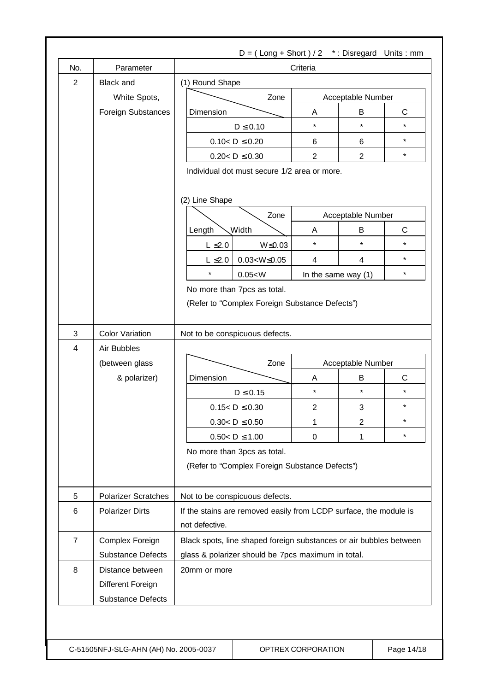| No.            | Parameter                                   | Criteria                                                                                                                 |                     |                     |                   |              |  |
|----------------|---------------------------------------------|--------------------------------------------------------------------------------------------------------------------------|---------------------|---------------------|-------------------|--------------|--|
| $\overline{2}$ | <b>Black and</b>                            | (1) Round Shape                                                                                                          |                     |                     |                   |              |  |
|                | White Spots,                                | Zone                                                                                                                     |                     | Acceptable Number   |                   |              |  |
|                | Foreign Substances                          | Dimension                                                                                                                |                     | Α                   | B                 | $\mathsf{C}$ |  |
|                |                                             | $D \leq 0.10$                                                                                                            |                     | $\star$             | $\star$           | $\star$      |  |
|                |                                             | $0.10 < D \le 0.20$                                                                                                      |                     | 6                   | 6                 | $^\star$     |  |
|                |                                             | $0.20 < D \le 0.30$                                                                                                      |                     | $\overline{2}$      | $\overline{2}$    | $\star$      |  |
|                |                                             | Individual dot must secure 1/2 area or more.<br>(2) Line Shape                                                           |                     |                     |                   |              |  |
|                |                                             | Zone                                                                                                                     |                     | Acceptable Number   |                   |              |  |
|                |                                             | <b>Width</b><br>Length                                                                                                   |                     | A                   | B                 | C            |  |
|                |                                             | $L \leq 2.0$                                                                                                             | $W \le 0.03$        | $\star$             | $\star$           | $\star$      |  |
|                |                                             | $L \leq 2.0$                                                                                                             | $0.03 < W \le 0.05$ | $\overline{4}$      | 4                 | $\star$      |  |
|                |                                             | $\star$<br>0.05 < W                                                                                                      |                     | In the same way (1) |                   | $\star$      |  |
|                |                                             | No more than 7pcs as total.                                                                                              |                     |                     |                   |              |  |
| 3<br>4         |                                             |                                                                                                                          |                     |                     |                   |              |  |
|                | <b>Color Variation</b><br>Air Bubbles       | Not to be conspicuous defects.                                                                                           |                     |                     |                   |              |  |
|                | (between glass                              |                                                                                                                          | Zone                |                     | Acceptable Number |              |  |
|                | & polarizer)                                | Dimension                                                                                                                |                     | Α                   | B                 | C            |  |
|                |                                             | $D \leq 0.15$                                                                                                            |                     | $\star$             | $\star$           | $\star$      |  |
|                |                                             | $0.15 < D \le 0.30$                                                                                                      |                     | $\overline{c}$      | 3                 | $^\star$     |  |
|                |                                             | $0.30 < D \le 0.50$                                                                                                      |                     | 1                   | $\overline{2}$    | $\star$      |  |
|                |                                             | $0.50 < D \le 1.00$                                                                                                      |                     | 0                   | 1                 | $\star$      |  |
|                |                                             | No more than 3pcs as total.<br>(Refer to "Complex Foreign Substance Defects")                                            |                     |                     |                   |              |  |
| 5              | <b>Polarizer Scratches</b>                  | Not to be conspicuous defects.                                                                                           |                     |                     |                   |              |  |
| 6              | <b>Polarizer Dirts</b>                      | If the stains are removed easily from LCDP surface, the module is                                                        |                     |                     |                   |              |  |
|                |                                             | not defective.                                                                                                           |                     |                     |                   |              |  |
| $\overline{7}$ |                                             |                                                                                                                          |                     |                     |                   |              |  |
|                | Complex Foreign<br><b>Substance Defects</b> | Black spots, line shaped foreign substances or air bubbles between<br>glass & polarizer should be 7pcs maximum in total. |                     |                     |                   |              |  |
| 8              | Distance between                            | 20mm or more                                                                                                             |                     |                     |                   |              |  |
|                | Different Foreign                           |                                                                                                                          |                     |                     |                   |              |  |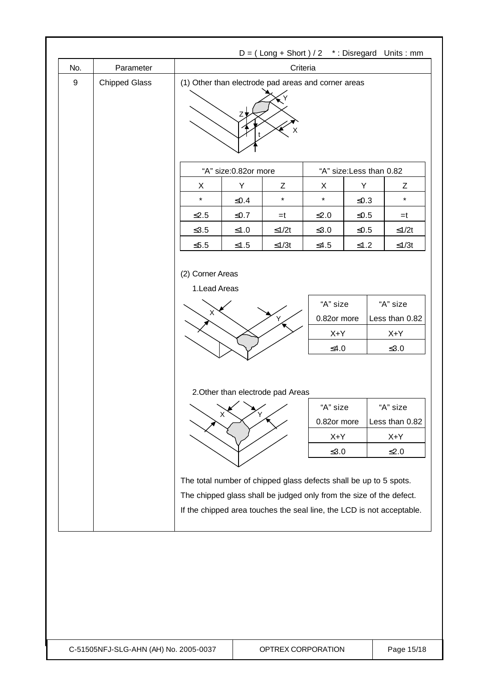|                  |                      |                                                                   |                    |                                        |                                                |                          | $D = (Long + Short) / 2$ *: Disregard Units: mm                                                                                              |
|------------------|----------------------|-------------------------------------------------------------------|--------------------|----------------------------------------|------------------------------------------------|--------------------------|----------------------------------------------------------------------------------------------------------------------------------------------|
| No.              | Parameter            | Criteria                                                          |                    |                                        |                                                |                          |                                                                                                                                              |
| $\boldsymbol{9}$ | <b>Chipped Glass</b> | (1) Other than electrode pad areas and corner areas<br>Z.<br>х    |                    |                                        |                                                |                          |                                                                                                                                              |
|                  |                      | "A" size:0.82or more                                              |                    |                                        |                                                | "A" size: Less than 0.82 |                                                                                                                                              |
|                  |                      | X                                                                 | Y                  | Ζ                                      | X                                              | Y                        | Ζ                                                                                                                                            |
|                  |                      | $\star$                                                           | ≤ $0.4$            | $\star$                                | $\star$                                        | ≤0.3                     | $\star$                                                                                                                                      |
|                  |                      | $\leq$ 2.5                                                        | $≤0.7$             | $=t$                                   | $\leq 2.0$                                     | $\leq 0.5$               | $=t$                                                                                                                                         |
|                  |                      | $≤3.5$                                                            | $\leq1.0$          | $≤1/2t$                                | $\leq 3.0$                                     | $≤0.5$                   | $≤1/2t$                                                                                                                                      |
|                  |                      | $\leq 5.5$                                                        | $≤1.5$             | $≤1/3t$                                | $≤4.5$                                         | $≤1.2$                   | $≤1/3t$                                                                                                                                      |
|                  |                      | 1.Lead Areas<br>х                                                 |                    | Ý                                      | "A" size<br>0.82or more                        |                          | "A" size<br>Less than 0.82                                                                                                                   |
|                  |                      |                                                                   |                    |                                        | $X+Y$                                          |                          | X+Y                                                                                                                                          |
|                  |                      |                                                                   |                    |                                        | $≤4.0$                                         |                          | $\leq 3.0$                                                                                                                                   |
|                  |                      |                                                                   | $\mathsf{X}$<br>΄Y | 2. Other than electrode pad Areas<br>╱ | "A" size<br>0.82or more<br>$X+Y$<br>$\leq 3.0$ |                          | "A" size<br>Less than 0.82<br>$X+Y$<br>$≤2.0$                                                                                                |
|                  |                      | The total number of chipped glass defects shall be up to 5 spots. |                    |                                        |                                                |                          | The chipped glass shall be judged only from the size of the defect.<br>If the chipped area touches the seal line, the LCD is not acceptable. |

C-51505NFJ-SLG-AHN (AH) No. 2005-0037 QPTREX CORPORATION Q Page 15/18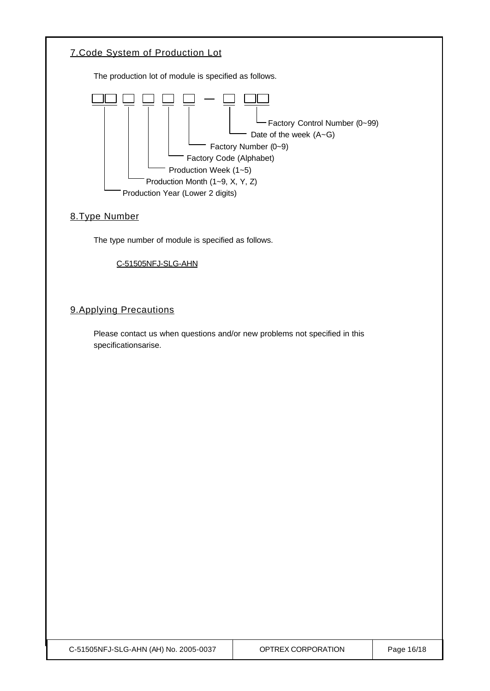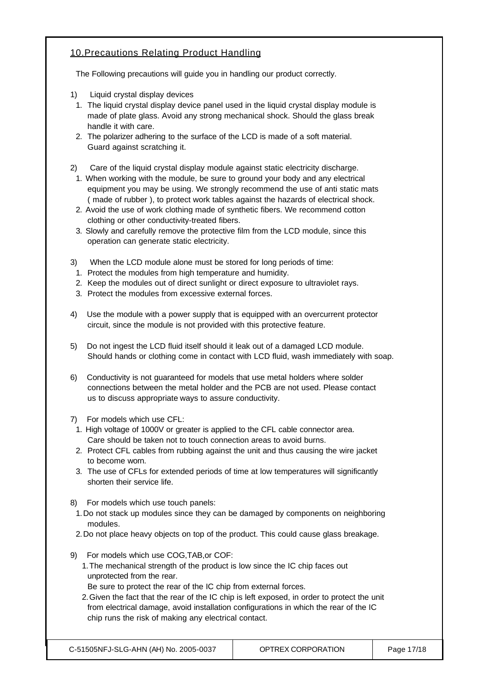## 10.Precautions Relating Product Handling

The Following precautions will guide you in handling our product correctly.

- 1) Liquid crystal display devices
- 1. The liquid crystal display device panel used in the liquid crystal display module is made of plate glass. Avoid any strong mechanical shock. Should the glass break handle it with care.
- 2. The polarizer adhering to the surface of the LCD is made of a soft material. Guard against scratching it.
- 2) Care of the liquid crystal display module against static electricity discharge.
- 1. When working with the module, be sure to ground your body and any electrical equipment you may be using. We strongly recommend the use of anti static mats ( made of rubber ), to protect work tables against the hazards of electrical shock.
- 2. Avoid the use of work clothing made of synthetic fibers. We recommend cotton clothing or other conductivity-treated fibers.
- 3. Slowly and carefully remove the protective film from the LCD module, since this operation can generate static electricity.
- 3) When the LCD module alone must be stored for long periods of time:
- 1. Protect the modules from high temperature and humidity.
- 2. Keep the modules out of direct sunlight or direct exposure to ultraviolet rays.
- 3. Protect the modules from excessive external forces.
- 4) Use the module with a power supply that is equipped with an overcurrent protector circuit, since the module is not provided with this protective feature.
- 5) Do not ingest the LCD fluid itself should it leak out of a damaged LCD module. Should hands or clothing come in contact with LCD fluid, wash immediately with soap.
- 6) Conductivity is not guaranteed for models that use metal holders where solder connections between the metal holder and the PCB are not used. Please contact us to discuss appropriate ways to assure conductivity.
- 7) For models which use CFL:
- 1. High voltage of 1000V or greater is applied to the CFL cable connector area. Care should be taken not to touch connection areas to avoid burns.
- 2. Protect CFL cables from rubbing against the unit and thus causing the wire jacket to become worn.
- 3. The use of CFLs for extended periods of time at low temperatures will significantly shorten their service life.
- 8) For models which use touch panels:
- 1.Do not stack up modules since they can be damaged by components on neighboring modules.
- 2.Do not place heavy objects on top of the product. This could cause glass breakage.
- 9) For models which use COG,TAB,or COF:
	- 1.The mechanical strength of the product is low since the IC chip faces out unprotected from the rear.
	- Be sure to protect the rear of the IC chip from external forces.
	- 2.Given the fact that the rear of the IC chip is left exposed, in order to protect the unit from electrical damage, avoid installation configurations in which the rear of the IC chip runs the risk of making any electrical contact.